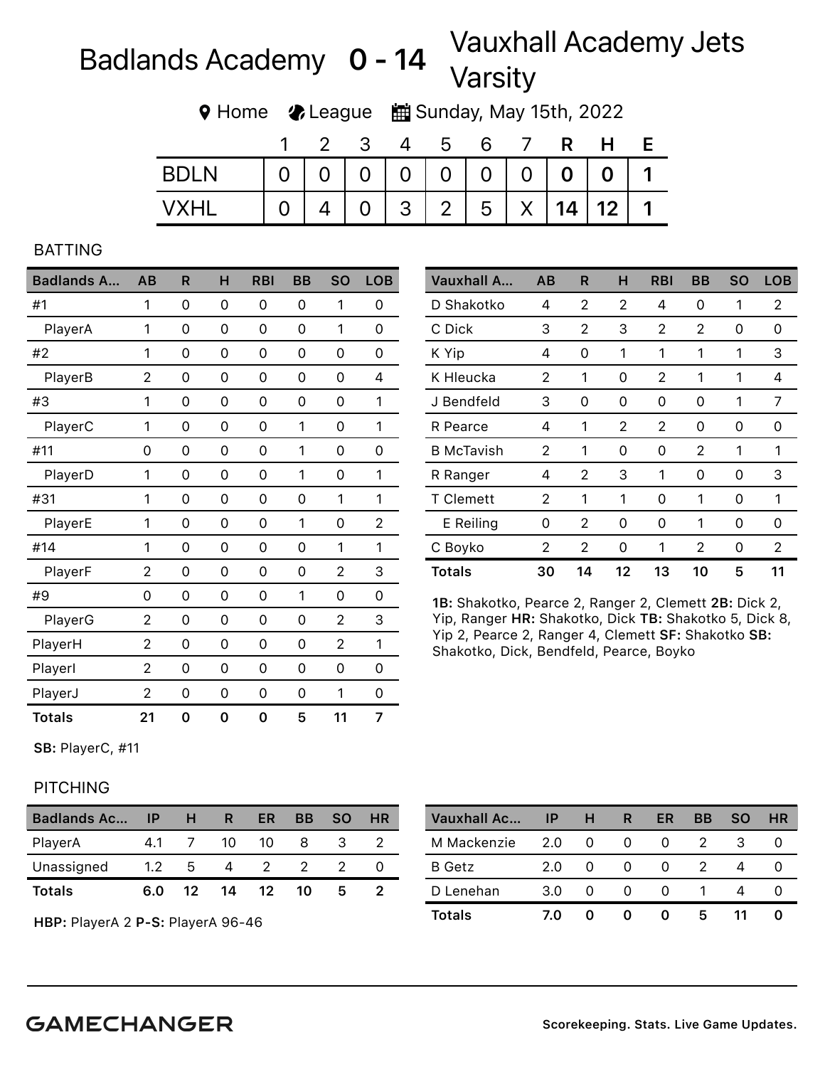## Badlands Academy  $0 - 14$  Vauxhall Academy Jets Varsity

Home League Sunday, May 15th, 2022

|             |          | 3 | $\overline{4}$ | $-5$ | 6 | $\mathbf R$ | H                                 |  |
|-------------|----------|---|----------------|------|---|-------------|-----------------------------------|--|
| <b>BDIN</b> |          |   |                |      |   |             | 0   0   0   0   0   0   0   0   1 |  |
| <b>VXHL</b> | $\Omega$ |   |                |      |   |             | 4 0 3 2 5 X 14 12 1               |  |

## BATTING

| <b>Badlands A</b> | AB             | R | н | <b>RBI</b> | BB | <b>SO</b>      | <b>LOB</b>     |
|-------------------|----------------|---|---|------------|----|----------------|----------------|
| #1                | 1              | 0 | 0 | 0          | 0  | 1              | 0              |
| PlayerA           | 1              | 0 | 0 | 0          | 0  | 1              | 0              |
| #2                | 1              | 0 | 0 | 0          | 0  | 0              | 0              |
| PlayerB           | $\overline{2}$ | 0 | 0 | 0          | 0  | 0              | 4              |
| #3                | 1              | 0 | 0 | 0          | 0  | 0              | 1              |
| PlayerC           | 1              | 0 | 0 | 0          | 1  | 0              | 1              |
| #11               | 0              | 0 | 0 | 0          | 1  | 0              | 0              |
| PlayerD           | 1              | 0 | 0 | 0          | 1  | 0              | 1              |
| #31               | 1              | 0 | 0 | 0          | 0  | 1              | 1              |
| PlayerE           | 1              | 0 | 0 | 0          | 1  | 0              | $\overline{2}$ |
| #14               | 1              | 0 | 0 | 0          | 0  | 1              | 1              |
| PlayerF           | $\overline{2}$ | 0 | 0 | 0          | 0  | $\overline{2}$ | 3              |
| #9                | 0              | 0 | 0 | 0          | 1  | 0              | 0              |
| PlayerG           | $\overline{2}$ | 0 | 0 | 0          | 0  | $\overline{2}$ | 3              |
| PlayerH           | $\overline{c}$ | 0 | 0 | 0          | 0  | $\overline{2}$ | 1              |
| Playerl           | $\overline{2}$ | 0 | 0 | 0          | 0  | 0              | 0              |
| PlayerJ           | $\overline{2}$ | 0 | 0 | 0          | 0  | 1              | 0              |
| <b>Totals</b>     | 21             | 0 | 0 | 0          | 5  | 11             | 7              |

| Vauxhall A        | AB             | R  | н  | RBI | BB       | SO       | <b>LOB</b> |
|-------------------|----------------|----|----|-----|----------|----------|------------|
| D Shakotko        | 4              | 2  | 2  | 4   | 0        | 1        | 2          |
| C Dick            | 3              | 2  | 3  | 2   | 2        | $\Omega$ | 0          |
| K Yip             | 4              | 0  | 1  | 1   | 1        | 1        | 3          |
| K Hleucka         | 2              | 1  | 0  | 2   | 1        | 1        | 4          |
| J Bendfeld        | 3              | 0  | 0  | 0   | 0        | 1        | 7          |
| R Pearce          | 4              | 1  | 2  | 2   | 0        | 0        | 0          |
| <b>B</b> McTavish | $\overline{2}$ | 1  | 0  | 0   | 2        | 1        | 1          |
| R Ranger          | 4              | 2  | 3  | 1   | $\Omega$ | 0        | 3          |
| <b>T</b> Clemett  | 2              | 1  | 1  | 0   | 1        | 0        | 1          |
| E Reiling         | 0              | 2  | 0  | 0   | 1        | 0        | 0          |
| C Boyko           | 2              | 2  | 0  | 1   | 2        | 0        | 2          |
| <b>Totals</b>     | 30             | 14 | 12 | 13  | 10       | 5        | 11         |

1B: Shakotko, Pearce 2, Ranger 2, Clemett 2B: Dick 2, Yip, Ranger HR: Shakotko, Dick TB: Shakotko 5, Dick 8, Yip 2, Pearce 2, Ranger 4, Clemett SF: Shakotko SB: Shakotko, Dick, Bendfeld, Pearce, Boyko

SB: PlayerC, #11

## **PITCHING**

| <b>Badlands Ac</b> | - IP          | H   | R  | ER               | <b>BB</b> | <b>SO</b> | HR |
|--------------------|---------------|-----|----|------------------|-----------|-----------|----|
| PlayerA            | 41            |     | 10 | 10               | 8         | З         |    |
| Unassigned         | $1.2^{\circ}$ | 5   | 4  | $\overline{2}$   |           |           |    |
| <b>Totals</b>      | 6.0           | 12. | 14 | 12 <sup>12</sup> | 10        | ь         |    |

HBP: PlayerA 2 P-S: PlayerA 96-46

| Vauxhall Ac   | ΙP  | н        | R        | ER       | <b>BB</b> | <b>SO</b> | <b>HR</b> |
|---------------|-----|----------|----------|----------|-----------|-----------|-----------|
| M Mackenzie   | 2.0 | 0        | 0        | $^{(1)}$ |           | З         |           |
| <b>B</b> Getz | 2.0 | 0        | $\Omega$ | $^{(1)}$ |           |           |           |
| D Lenehan     | 3.0 | $\Omega$ |          | $^{(1)}$ |           |           |           |
| <b>Totals</b> | 7.0 |          |          | 0        | 5         |           |           |